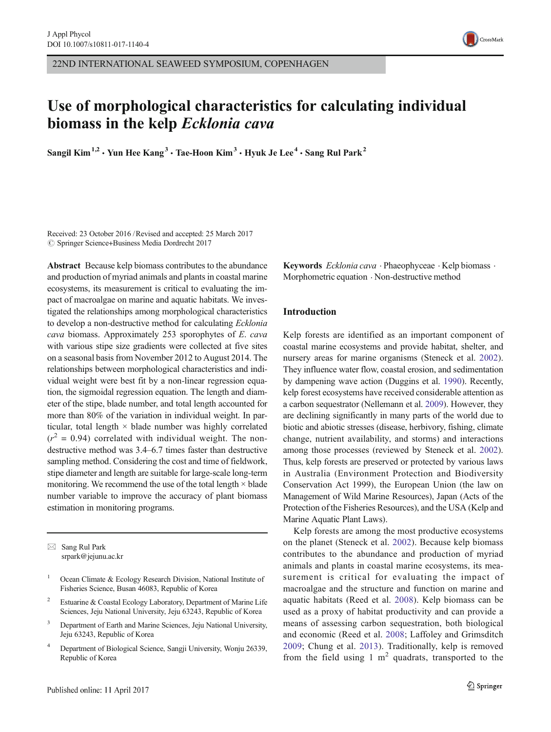22ND INTERNATIONAL SEAWEED SYMPOSIUM, COPENHAGEN

# Use of morphological characteristics for calculating individual biomass in the kelp Ecklonia cava

Sangil Kim<sup>1,2</sup> • Yun Hee Kang<sup>3</sup> • Tae-Hoon Kim<sup>3</sup> • Hyuk Je Lee<sup>4</sup> • Sang Rul Park<sup>2</sup>

Received: 23 October 2016 /Revised and accepted: 25 March 2017  $\circled{c}$  Springer Science+Business Media Dordrecht 2017

Abstract Because kelp biomass contributes to the abundance and production of myriad animals and plants in coastal marine ecosystems, its measurement is critical to evaluating the impact of macroalgae on marine and aquatic habitats. We investigated the relationships among morphological characteristics to develop a non-destructive method for calculating Ecklonia cava biomass. Approximately 253 sporophytes of E. cava with various stipe size gradients were collected at five sites on a seasonal basis from November 2012 to August 2014. The relationships between morphological characteristics and individual weight were best fit by a non-linear regression equation, the sigmoidal regression equation. The length and diameter of the stipe, blade number, and total length accounted for more than 80% of the variation in individual weight. In particular, total length × blade number was highly correlated  $(r^2 = 0.94)$  correlated with individual weight. The nondestructive method was 3.4–6.7 times faster than destructive sampling method. Considering the cost and time of fieldwork, stipe diameter and length are suitable for large-scale long-term monitoring. We recommend the use of the total length  $\times$  blade number variable to improve the accuracy of plant biomass estimation in monitoring programs.

 $\boxtimes$  Sang Rul Park srpark@jejunu.ac.kr

- <sup>2</sup> Estuarine & Coastal Ecology Laboratory, Department of Marine Life Sciences, Jeju National University, Jeju 63243, Republic of Korea
- <sup>3</sup> Department of Earth and Marine Sciences, Jeju National University, Jeju 63243, Republic of Korea
- <sup>4</sup> Department of Biological Science, Sangji University, Wonju 26339, Republic of Korea

Keywords *Ecklonia cava* · Phaeophyceae · Kelp biomass · Morphometric equation . Non-destructive method

# Introduction

Kelp forests are identified as an important component of coastal marine ecosystems and provide habitat, shelter, and nursery areas for marine organisms (Steneck et al. [2002](#page-6-0)). They influence water flow, coastal erosion, and sedimentation by dampening wave action (Duggins et al. [1990](#page-6-0)). Recently, kelp forest ecosystems have received considerable attention as a carbon sequestrator (Nellemann et al. [2009](#page-6-0)). However, they are declining significantly in many parts of the world due to biotic and abiotic stresses (disease, herbivory, fishing, climate change, nutrient availability, and storms) and interactions among those processes (reviewed by Steneck et al. [2002\)](#page-6-0). Thus, kelp forests are preserved or protected by various laws in Australia (Environment Protection and Biodiversity Conservation Act 1999), the European Union (the law on Management of Wild Marine Resources), Japan (Acts of the Protection of the Fisheries Resources), and the USA (Kelp and Marine Aquatic Plant Laws).

Kelp forests are among the most productive ecosystems on the planet (Steneck et al. [2002\)](#page-6-0). Because kelp biomass contributes to the abundance and production of myriad animals and plants in coastal marine ecosystems, its measurement is critical for evaluating the impact of macroalgae and the structure and function on marine and aquatic habitats (Reed et al. [2008](#page-6-0)). Kelp biomass can be used as a proxy of habitat productivity and can provide a means of assessing carbon sequestration, both biological and economic (Reed et al. [2008](#page-6-0); Laffoley and Grimsditch [2009](#page-6-0); Chung et al. [2013](#page-5-0)). Traditionally, kelp is removed from the field using 1  $m<sup>2</sup>$  quadrats, transported to the



<sup>&</sup>lt;sup>1</sup> Ocean Climate & Ecology Research Division, National Institute of Fisheries Science, Busan 46083, Republic of Korea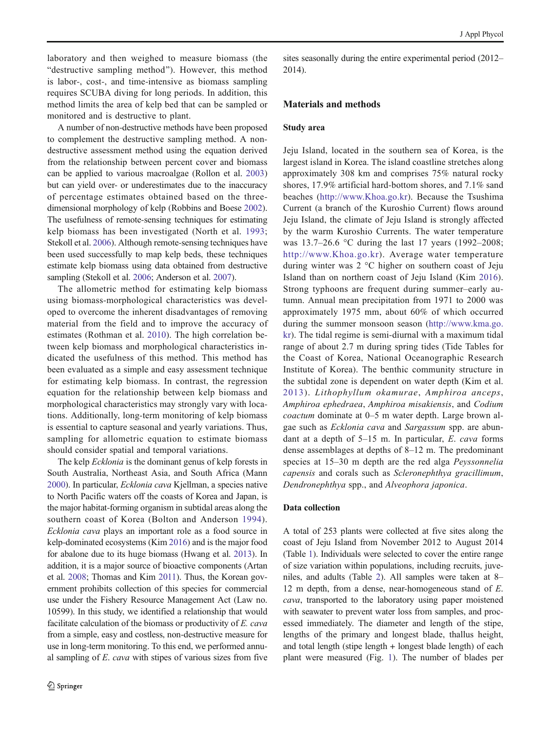laboratory and then weighed to measure biomass (the "destructive sampling method"). However, this method is labor-, cost-, and time-intensive as biomass sampling requires SCUBA diving for long periods. In addition, this method limits the area of kelp bed that can be sampled or monitored and is destructive to plant.

A number of non-destructive methods have been proposed to complement the destructive sampling method. A nondestructive assessment method using the equation derived from the relationship between percent cover and biomass can be applied to various macroalgae (Rollon et al. [2003\)](#page-6-0) but can yield over- or underestimates due to the inaccuracy of percentage estimates obtained based on the threedimensional morphology of kelp (Robbins and Boese [2002\)](#page-6-0). The usefulness of remote-sensing techniques for estimating kelp biomass has been investigated (North et al. [1993](#page-6-0); Stekoll et al. [2006](#page-6-0)). Although remote-sensing techniques have been used successfully to map kelp beds, these techniques estimate kelp biomass using data obtained from destructive sampling (Stekoll et al. [2006](#page-6-0); Anderson et al. [2007](#page-5-0)).

The allometric method for estimating kelp biomass using biomass-morphological characteristics was developed to overcome the inherent disadvantages of removing material from the field and to improve the accuracy of estimates (Rothman et al. [2010\)](#page-6-0). The high correlation between kelp biomass and morphological characteristics indicated the usefulness of this method. This method has been evaluated as a simple and easy assessment technique for estimating kelp biomass. In contrast, the regression equation for the relationship between kelp biomass and morphological characteristics may strongly vary with locations. Additionally, long-term monitoring of kelp biomass is essential to capture seasonal and yearly variations. Thus, sampling for allometric equation to estimate biomass should consider spatial and temporal variations.

The kelp *Ecklonia* is the dominant genus of kelp forests in South Australia, Northeast Asia, and South Africa (Mann [2000\)](#page-6-0). In particular, Ecklonia cava Kjellman, a species native to North Pacific waters off the coasts of Korea and Japan, is the major habitat-forming organism in subtidal areas along the southern coast of Korea (Bolton and Anderson [1994](#page-5-0)). Ecklonia cava plays an important role as a food source in kelp-dominated ecosystems (Kim [2016](#page-6-0)) and is the major food for abalone due to its huge biomass (Hwang et al. [2013](#page-6-0)). In addition, it is a major source of bioactive components (Artan et al. [2008](#page-5-0); Thomas and Kim [2011\)](#page-6-0). Thus, the Korean government prohibits collection of this species for commercial use under the Fishery Resource Management Act (Law no. 10599). In this study, we identified a relationship that would facilitate calculation of the biomass or productivity of E. cava from a simple, easy and costless, non-destructive measure for use in long-term monitoring. To this end, we performed annual sampling of E. cava with stipes of various sizes from five sites seasonally during the entire experimental period (2012– 2014).

## Materials and methods

## Study area

Jeju Island, located in the southern sea of Korea, is the largest island in Korea. The island coastline stretches along approximately 308 km and comprises 75% natural rocky shores, 17.9% artificial hard-bottom shores, and 7.1% sand beaches ([http://www.Khoa.go.kr\)](http://www.khoa.go.kr). Because the Tsushima Current (a branch of the Kuroshio Current) flows around Jeju Island, the climate of Jeju Island is strongly affected by the warm Kuroshio Currents. The water temperature was 13.7–26.6 °C during the last 17 years (1992–2008; [http://www.Khoa.go.kr\)](http://www.khoa.go.kr). Average water temperature during winter was 2 °C higher on southern coast of Jeju Island than on northern coast of Jeju Island (Kim [2016](#page-6-0)). Strong typhoons are frequent during summer–early autumn. Annual mean precipitation from 1971 to 2000 was approximately 1975 mm, about 60% of which occurred during the summer monsoon season ([http://www.kma.go.](http://www.kma.go.kr) [kr\)](http://www.kma.go.kr). The tidal regime is semi-diurnal with a maximum tidal range of about 2.7 m during spring tides (Tide Tables for the Coast of Korea, National Oceanographic Research Institute of Korea). The benthic community structure in the subtidal zone is dependent on water depth (Kim et al. [2013\)](#page-6-0). Lithophyllum okamurae, Amphiroa anceps, Amphiroa ephedraea, Amphiroa misakiensis, and Codium coactum dominate at 0–5 m water depth. Large brown algae such as Ecklonia cava and Sargassum spp. are abundant at a depth of 5–15 m. In particular, E. cava forms dense assemblages at depths of 8–12 m. The predominant species at 15–30 m depth are the red alga Peyssonnelia capensis and corals such as Scleronephthya gracillimum, Dendronephthya spp., and Alveophora japonica.

## Data collection

A total of 253 plants were collected at five sites along the coast of Jeju Island from November 2012 to August 2014 (Table [1](#page-2-0)). Individuals were selected to cover the entire range of size variation within populations, including recruits, juveniles, and adults (Table [2](#page-2-0)). All samples were taken at 8– 12 m depth, from a dense, near-homogeneous stand of E. cava, transported to the laboratory using paper moistened with seawater to prevent water loss from samples, and processed immediately. The diameter and length of the stipe, lengths of the primary and longest blade, thallus height, and total length (stipe length + longest blade length) of each plant were measured (Fig. [1\)](#page-3-0). The number of blades per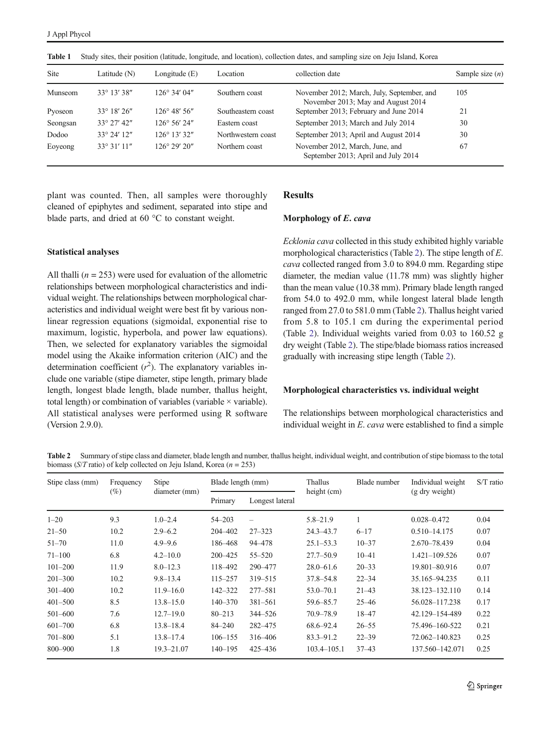<span id="page-2-0"></span>Table 1 Study sites, their position (latitude, longitude, and location), collection dates, and sampling size on Jeju Island, Korea

| <b>Site</b> | Latitude (N)         | Longitude $(E)$        | Location           | collection date                                                                  | Sample size $(n)$ |
|-------------|----------------------|------------------------|--------------------|----------------------------------------------------------------------------------|-------------------|
| Munseom     | $33^{\circ}$ 13' 38" | $126^{\circ}$ 34' 04"  | Southern coast     | November 2012; March, July, September, and<br>November 2013; May and August 2014 | 105               |
| Pyoseon     | $33^{\circ}$ 18' 26" | $126^{\circ}$ 48' 56"  | Southeastern coast | September 2013; February and June 2014                                           | 21                |
| Seongsan    | $33^{\circ}$ 27' 42" | $126^{\circ} 56' 24''$ | Eastern coast      | September 2013; March and July 2014                                              | 30                |
| Dodoo       | $33^{\circ}$ 24' 12" | $126^{\circ}$ 13' 32"  | Northwestern coast | September 2013; April and August 2014                                            | 30                |
| Eoyeong     | $33^{\circ}31'11''$  | $126^{\circ} 29' 20''$ | Northern coast     | November 2012, March, June, and<br>September 2013; April and July 2014           | 67                |

plant was counted. Then, all samples were thoroughly cleaned of epiphytes and sediment, separated into stipe and blade parts, and dried at 60 °C to constant weight.

# Statistical analyses

All thalli  $(n = 253)$  were used for evaluation of the allometric relationships between morphological characteristics and individual weight. The relationships between morphological characteristics and individual weight were best fit by various nonlinear regression equations (sigmoidal, exponential rise to maximum, logistic, hyperbola, and power law equations). Then, we selected for explanatory variables the sigmoidal model using the Akaike information criterion (AIC) and the determination coefficient  $(r^2)$ . The explanatory variables include one variable (stipe diameter, stipe length, primary blade length, longest blade length, blade number, thallus height, total length) or combination of variables (variable  $\times$  variable). All statistical analyses were performed using R software (Version 2.9.0).

#### Results

#### Morphology of E. cava

Ecklonia cava collected in this study exhibited highly variable morphological characteristics (Table 2). The stipe length of E. cava collected ranged from 3.0 to 894.0 mm. Regarding stipe diameter, the median value (11.78 mm) was slightly higher than the mean value (10.38 mm). Primary blade length ranged from 54.0 to 492.0 mm, while longest lateral blade length ranged from 27.0 to 581.0 mm (Table 2). Thallus height varied from 5.8 to 105.1 cm during the experimental period (Table 2). Individual weights varied from 0.03 to 160.52 g dry weight (Table 2). The stipe/blade biomass ratios increased gradually with increasing stipe length (Table 2).

#### Morphological characteristics vs. individual weight

The relationships between morphological characteristics and individual weight in E. cava were established to find a simple

Table 2 Summary of stipe class and diameter, blade length and number, thallus height, individual weight, and contribution of stipe biomass to the total biomass ( $S/T$  ratio) of kelp collected on Jeju Island, Korea ( $n = 253$ )

| Stipe class (mm) | Frequency<br>$(\%)$ | Stipe<br>diameter (mm) | Blade length (mm) |                          | Thallus         | Blade number | Individual weight | $S/T$ ratio |
|------------------|---------------------|------------------------|-------------------|--------------------------|-----------------|--------------|-------------------|-------------|
|                  |                     |                        | Primary           | Longest lateral          | height (cm)     |              | (g dry weight)    |             |
| $1 - 20$         | 9.3                 | $1.0 - 2.4$            | $54 - 203$        | $\overline{\phantom{0}}$ | $5.8 - 21.9$    |              | $0.028 - 0.472$   | 0.04        |
| $21 - 50$        | 10.2                | $2.9 - 6.2$            | 204-402           | $27 - 323$               | $24.3 - 43.7$   | $6 - 17$     | $0.510 - 14.175$  | 0.07        |
| $51 - 70$        | 11.0                | $4.9 - 9.6$            | 186–468           | 94 - 478                 | $25.1 - 53.3$   | $10 - 37$    | 2.670-78.439      | 0.04        |
| $71 - 100$       | 6.8                 | $4.2 - 10.0$           | $200 - 425$       | $55 - 520$               | $27.7 - 50.9$   | $10 - 41$    | 1.421-109.526     | 0.07        |
| $101 - 200$      | 11.9                | $8.0 - 12.3$           | 118-492           | 290-477                  | $28.0 - 61.6$   | $20 - 33$    | 19.801-80.916     | 0.07        |
| $201 - 300$      | 10.2                | $9.8 - 13.4$           | $115 - 257$       | 319-515                  | $37.8 - 54.8$   | $22 - 34$    | 35.165-94.235     | 0.11        |
| $301 - 400$      | 10.2                | $11.9 - 16.0$          | $142 - 322$       | 277-581                  | $53.0 - 70.1$   | $21 - 43$    | 38.123-132.110    | 0.14        |
| $401 - 500$      | 8.5                 | $13.8 - 15.0$          | $140 - 370$       | $381 - 561$              | 59.6-85.7       | $25 - 46$    | 56.028-117.238    | 0.17        |
| $501 - 600$      | 7.6                 | $12.7 - 19.0$          | $80 - 213$        | 344-526                  | $70.9 - 78.9$   | $18 - 47$    | 42.129-154-489    | 0.22        |
| $601 - 700$      | 6.8                 | $13.8 - 18.4$          | $84 - 240$        | 282-475                  | 68.6–92.4       | $26 - 55$    | 75.496-160-522    | 0.21        |
| $701 - 800$      | 5.1                 | $13.8 - 17.4$          | $106 - 155$       | 316-406                  | $83.3 - 91.2$   | $22 - 39$    | 72.062-140.823    | 0.25        |
| 800-900          | 1.8                 | $19.3 - 21.07$         | $140 - 195$       | 425 - 436                | $103.4 - 105.1$ | $37 - 43$    | 137.560-142.071   | 0.25        |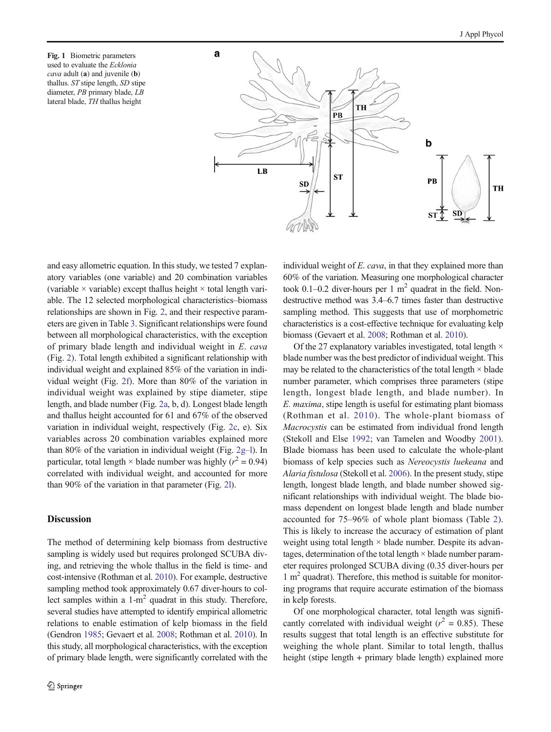<span id="page-3-0"></span>Fig. 1 Biometric parameters used to evaluate the Ecklonia cava adult (a) and juvenile (b) thallus. ST stipe length, SD stipe diameter, PB primary blade, LB lateral blade, TH thallus height



and easy allometric equation. In this study, we tested 7 explanatory variables (one variable) and 20 combination variables (variable  $\times$  variable) except thallus height  $\times$  total length variable. The 12 selected morphological characteristics–biomass relationships are shown in Fig. [2](#page-4-0), and their respective parameters are given in Table [3.](#page-5-0) Significant relationships were found between all morphological characteristics, with the exception of primary blade length and individual weight in E. cava (Fig. [2](#page-4-0)). Total length exhibited a significant relationship with individual weight and explained 85% of the variation in individual weight (Fig. [2f\)](#page-4-0). More than 80% of the variation in individual weight was explained by stipe diameter, stipe length, and blade number (Fig. [2a](#page-4-0), b, d). Longest blade length and thallus height accounted for 61 and 67% of the observed variation in individual weight, respectively (Fig. [2c,](#page-4-0) e). Six variables across 20 combination variables explained more than 80% of the variation in individual weight (Fig. [2g](#page-4-0)–l). In particular, total length  $\times$  blade number was highly ( $r^2 = 0.94$ ) correlated with individual weight, and accounted for more than 90% of the variation in that parameter (Fig. [2l\)](#page-4-0).

# Discussion

The method of determining kelp biomass from destructive sampling is widely used but requires prolonged SCUBA diving, and retrieving the whole thallus in the field is time- and cost-intensive (Rothman et al. [2010\)](#page-6-0). For example, destructive sampling method took approximately 0.67 diver-hours to collect samples within a  $1-m^2$  quadrat in this study. Therefore, several studies have attempted to identify empirical allometric relations to enable estimation of kelp biomass in the field (Gendron [1985;](#page-6-0) Gevaert et al. [2008;](#page-6-0) Rothman et al. [2010\)](#page-6-0). In this study, all morphological characteristics, with the exception of primary blade length, were significantly correlated with the individual weight of E. cava, in that they explained more than 60% of the variation. Measuring one morphological character took 0.1–0.2 diver-hours per 1  $m<sup>2</sup>$  quadrat in the field. Nondestructive method was 3.4–6.7 times faster than destructive sampling method. This suggests that use of morphometric characteristics is a cost-effective technique for evaluating kelp biomass (Gevaert et al. [2008;](#page-6-0) Rothman et al. [2010\)](#page-6-0).

Of the 27 explanatory variables investigated, total length  $\times$ blade number was the best predictor of individual weight. This may be related to the characteristics of the total length  $\times$  blade number parameter, which comprises three parameters (stipe length, longest blade length, and blade number). In E. maxima, stipe length is useful for estimating plant biomass (Rothman et al. [2010\)](#page-6-0). The whole-plant biomass of Macrocystis can be estimated from individual frond length (Stekoll and Else [1992](#page-6-0); van Tamelen and Woodby [2001\)](#page-6-0). Blade biomass has been used to calculate the whole-plant biomass of kelp species such as Nereocystis luekeana and Alaria fistulosa (Stekoll et al. [2006\)](#page-6-0). In the present study, stipe length, longest blade length, and blade number showed significant relationships with individual weight. The blade biomass dependent on longest blade length and blade number accounted for 75–96% of whole plant biomass (Table [2](#page-2-0)). This is likely to increase the accuracy of estimation of plant weight using total length  $\times$  blade number. Despite its advantages, determination of the total length  $\times$  blade number parameter requires prolonged SCUBA diving (0.35 diver-hours per  $1 \text{ m}^2$  quadrat). Therefore, this method is suitable for monitoring programs that require accurate estimation of the biomass in kelp forests.

Of one morphological character, total length was significantly correlated with individual weight ( $r^2 = 0.85$ ). These results suggest that total length is an effective substitute for weighing the whole plant. Similar to total length, thallus height (stipe length + primary blade length) explained more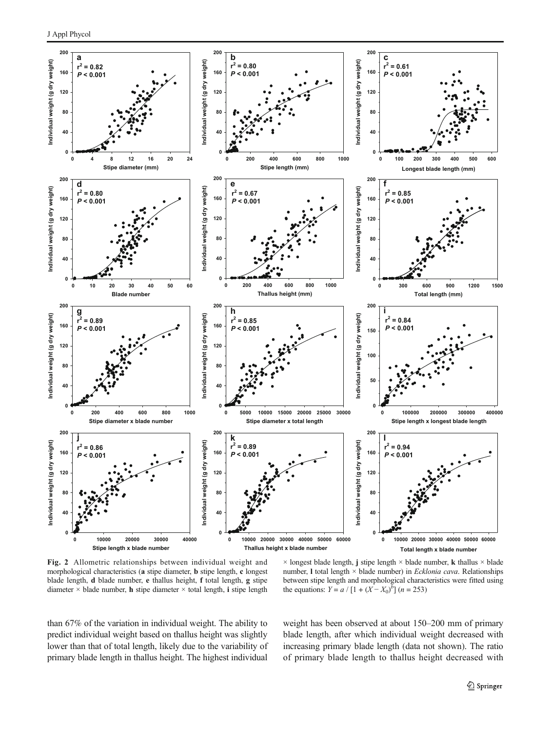<span id="page-4-0"></span>

Fig. 2 Allometric relationships between individual weight and morphological characteristics (a stipe diameter, b stipe length, c longest blade length, d blade number, e thallus height, f total length, g stipe diameter  $\times$  blade number, **h** stipe diameter  $\times$  total length, **i** stipe length

 $\times$  longest blade length, j stipe length  $\times$  blade number, k thallus  $\times$  blade number, l total length × blade number) in Ecklonia cava. Relationships between stipe length and morphological characteristics were fitted using the equations:  $Y = a / [1 + (X - X_0)^b] (n = 253)$ 

than 67% of the variation in individual weight. The ability to predict individual weight based on thallus height was slightly lower than that of total length, likely due to the variability of primary blade length in thallus height. The highest individual weight has been observed at about 150–200 mm of primary blade length, after which individual weight decreased with increasing primary blade length (data not shown). The ratio of primary blade length to thallus height decreased with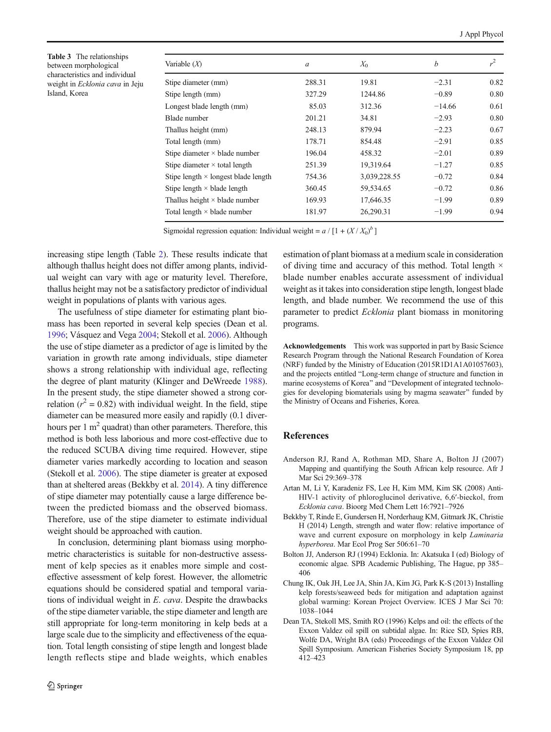<span id="page-5-0"></span>Table 3 The relationships between morphological characteristics and individual weight in Ecklonia cava in Jeju Island, Korea

| Variable $(X)$                             | a      | $X_0$        | b        | $r^2$ |
|--------------------------------------------|--------|--------------|----------|-------|
| Stipe diameter (mm)                        | 288.31 | 19.81        | $-2.31$  | 0.82  |
| Stipe length (mm)                          | 327.29 | 1244.86      | $-0.89$  | 0.80  |
| Longest blade length (mm)                  | 85.03  | 312.36       | $-14.66$ | 0.61  |
| Blade number                               | 201.21 | 34.81        | $-2.93$  | 0.80  |
| Thallus height (mm)                        | 248.13 | 879.94       | $-2.23$  | 0.67  |
| Total length (mm)                          | 178.71 | 854.48       | $-2.91$  | 0.85  |
| Stipe diameter $\times$ blade number       | 196.04 | 458.32       | $-2.01$  | 0.89  |
| Stipe diameter $\times$ total length       | 251.39 | 19,319.64    | $-1.27$  | 0.85  |
| Stipe length $\times$ longest blade length | 754.36 | 3,039,228.55 | $-0.72$  | 0.84  |
| Stipe length $\times$ blade length         | 360.45 | 59,534.65    | $-0.72$  | 0.86  |
| Thallus height $\times$ blade number       | 169.93 | 17,646.35    | $-1.99$  | 0.89  |
| Total length $\times$ blade number         | 181.97 | 26,290.31    | $-1.99$  | 0.94  |

Sigmoidal regression equation: Individual weight =  $a / [1 + (X / X_0)^b]$ 

increasing stipe length (Table [2](#page-2-0)). These results indicate that although thallus height does not differ among plants, individual weight can vary with age or maturity level. Therefore, thallus height may not be a satisfactory predictor of individual weight in populations of plants with various ages.

The usefulness of stipe diameter for estimating plant biomass has been reported in several kelp species (Dean et al. 1996; Vásquez and Vega [2004](#page-6-0); Stekoll et al. [2006](#page-6-0)). Although the use of stipe diameter as a predictor of age is limited by the variation in growth rate among individuals, stipe diameter shows a strong relationship with individual age, reflecting the degree of plant maturity (Klinger and DeWreede [1988\)](#page-6-0). In the present study, the stipe diameter showed a strong correlation ( $r^2 = 0.82$ ) with individual weight. In the field, stipe diameter can be measured more easily and rapidly (0.1 diverhours per 1  $m<sup>2</sup>$  quadrat) than other parameters. Therefore, this method is both less laborious and more cost-effective due to the reduced SCUBA diving time required. However, stipe diameter varies markedly according to location and season (Stekoll et al. [2006\)](#page-6-0). The stipe diameter is greater at exposed than at sheltered areas (Bekkby et al. 2014). A tiny difference of stipe diameter may potentially cause a large difference between the predicted biomass and the observed biomass. Therefore, use of the stipe diameter to estimate individual weight should be approached with caution.

In conclusion, determining plant biomass using morphometric characteristics is suitable for non-destructive assessment of kelp species as it enables more simple and costeffective assessment of kelp forest. However, the allometric equations should be considered spatial and temporal variations of individual weight in E. cava. Despite the drawbacks of the stipe diameter variable, the stipe diameter and length are still appropriate for long-term monitoring in kelp beds at a large scale due to the simplicity and effectiveness of the equation. Total length consisting of stipe length and longest blade length reflects stipe and blade weights, which enables estimation of plant biomass at a medium scale in consideration of diving time and accuracy of this method. Total length  $\times$ blade number enables accurate assessment of individual weight as it takes into consideration stipe length, longest blade length, and blade number. We recommend the use of this parameter to predict Ecklonia plant biomass in monitoring programs.

Acknowledgements This work was supported in part by Basic Science Research Program through the National Research Foundation of Korea (NRF) funded by the Ministry of Education (2015R1D1A1A01057603), and the projects entitled "Long-term change of structure and function in marine ecosystems of Korea" and "Development of integrated technologies for developing biomaterials using by magma seawater" funded by the Ministry of Oceans and Fisheries, Korea.

# **References**

- Anderson RJ, Rand A, Rothman MD, Share A, Bolton JJ (2007) Mapping and quantifying the South African kelp resource. Afr J Mar Sci 29:369–378
- Artan M, Li Y, Karadeniz FS, Lee H, Kim MM, Kim SK (2008) Anti-HIV-1 activity of phloroglucinol derivative, 6,6′-bieckol, from Ecklonia cava. Bioorg Med Chem Lett 16:7921–7926
- Bekkby T, Rinde E, Gundersen H, Norderhaug KM, Gitmark JK, Christie H (2014) Length, strength and water flow: relative importance of wave and current exposure on morphology in kelp Laminaria hyperborea. Mar Ecol Prog Ser 506:61–70
- Bolton JJ, Anderson RJ (1994) Ecklonia. In: Akatsuka I (ed) Biology of economic algae. SPB Academic Publishing, The Hague, pp 385– 406
- Chung IK, Oak JH, Lee JA, Shin JA, Kim JG, Park K-S (2013) Installing kelp forests/seaweed beds for mitigation and adaptation against global warming: Korean Project Overview. ICES J Mar Sci 70: 1038–1044
- Dean TA, Stekoll MS, Smith RO (1996) Kelps and oil: the effects of the Exxon Valdez oil spill on subtidal algae. In: Rice SD, Spies RB, Wolfe DA, Wright BA (eds) Proceedings of the Exxon Valdez Oil Spill Symposium. American Fisheries Society Symposium 18, pp 412–423